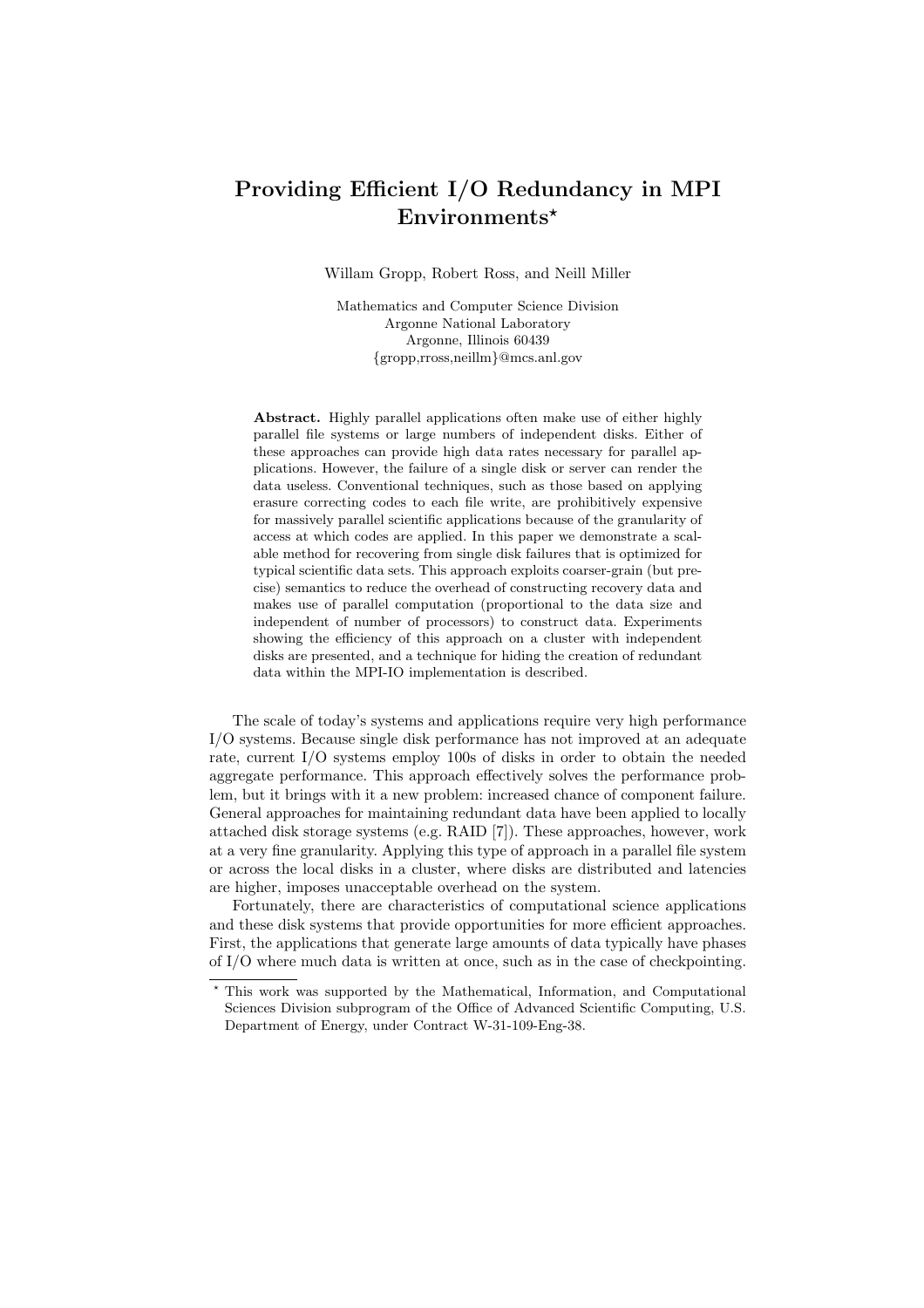# Providing Efficient I/O Redundancy in MPI Environments\*

Willam Gropp, Robert Ross, and Neill Miller

Mathematics and Computer Science Division Argonne National Laboratory Argonne, Illinois 60439 {gropp,rross,neillm}@mcs.anl.gov

Abstract. Highly parallel applications often make use of either highly parallel file systems or large numbers of independent disks. Either of these approaches can provide high data rates necessary for parallel applications. However, the failure of a single disk or server can render the data useless. Conventional techniques, such as those based on applying erasure correcting codes to each file write, are prohibitively expensive for massively parallel scientific applications because of the granularity of access at which codes are applied. In this paper we demonstrate a scalable method for recovering from single disk failures that is optimized for typical scientific data sets. This approach exploits coarser-grain (but precise) semantics to reduce the overhead of constructing recovery data and makes use of parallel computation (proportional to the data size and independent of number of processors) to construct data. Experiments showing the efficiency of this approach on a cluster with independent disks are presented, and a technique for hiding the creation of redundant data within the MPI-IO implementation is described.

The scale of today's systems and applications require very high performance I/O systems. Because single disk performance has not improved at an adequate rate, current I/O systems employ 100s of disks in order to obtain the needed aggregate performance. This approach effectively solves the performance problem, but it brings with it a new problem: increased chance of component failure. General approaches for maintaining redundant data have been applied to locally attached disk storage systems (e.g. RAID [7]). These approaches, however, work at a very fine granularity. Applying this type of approach in a parallel file system or across the local disks in a cluster, where disks are distributed and latencies are higher, imposes unacceptable overhead on the system.

Fortunately, there are characteristics of computational science applications and these disk systems that provide opportunities for more efficient approaches. First, the applications that generate large amounts of data typically have phases of I/O where much data is written at once, such as in the case of checkpointing.

<sup>?</sup> This work was supported by the Mathematical, Information, and Computational Sciences Division subprogram of the Office of Advanced Scientific Computing, U.S. Department of Energy, under Contract W-31-109-Eng-38.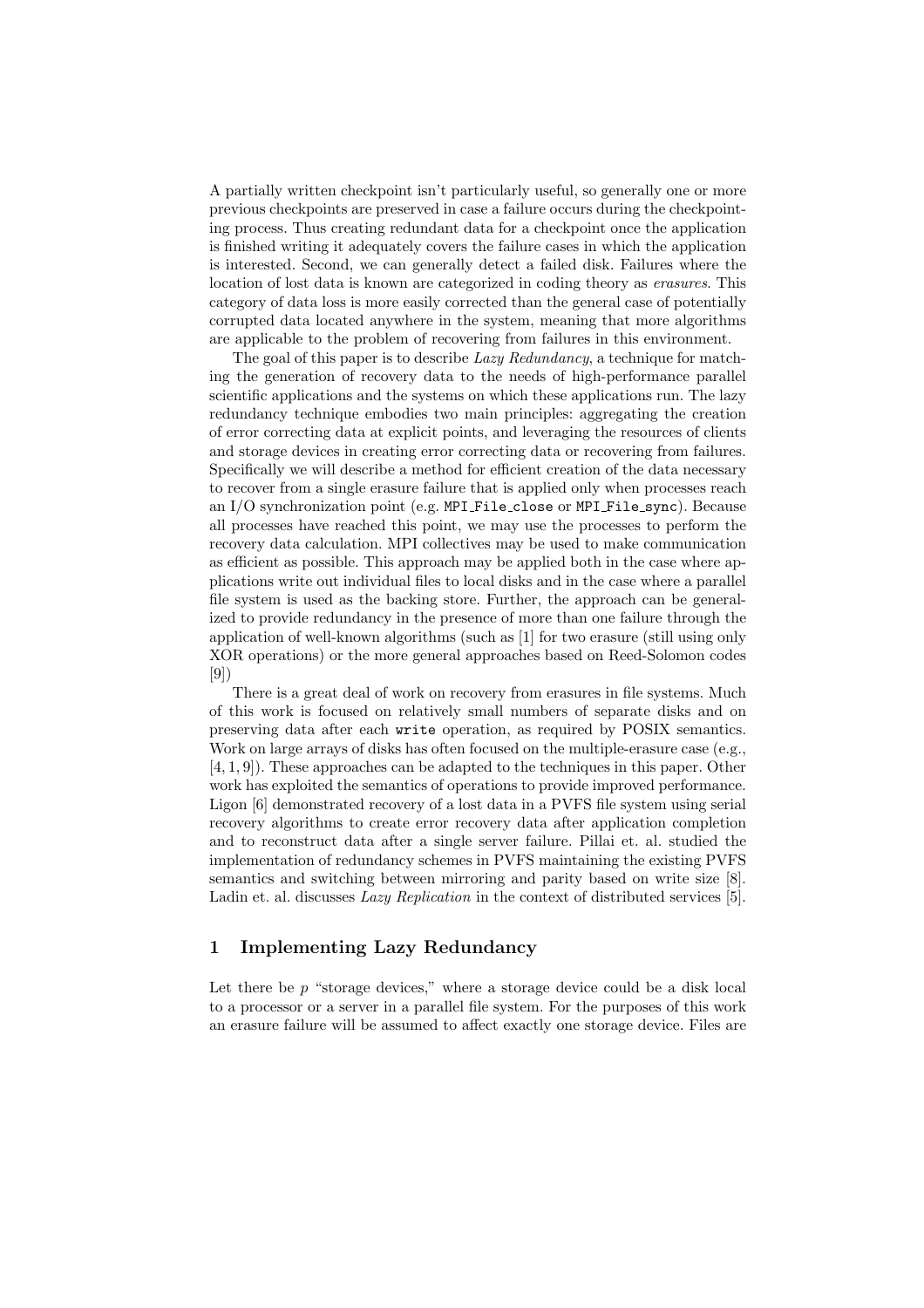A partially written checkpoint isn't particularly useful, so generally one or more previous checkpoints are preserved in case a failure occurs during the checkpointing process. Thus creating redundant data for a checkpoint once the application is finished writing it adequately covers the failure cases in which the application is interested. Second, we can generally detect a failed disk. Failures where the location of lost data is known are categorized in coding theory as erasures. This category of data loss is more easily corrected than the general case of potentially corrupted data located anywhere in the system, meaning that more algorithms are applicable to the problem of recovering from failures in this environment.

The goal of this paper is to describe *Lazy Redundancy*, a technique for matching the generation of recovery data to the needs of high-performance parallel scientific applications and the systems on which these applications run. The lazy redundancy technique embodies two main principles: aggregating the creation of error correcting data at explicit points, and leveraging the resources of clients and storage devices in creating error correcting data or recovering from failures. Specifically we will describe a method for efficient creation of the data necessary to recover from a single erasure failure that is applied only when processes reach an I/O synchronization point (e.g. MPI File close or MPI File sync). Because all processes have reached this point, we may use the processes to perform the recovery data calculation. MPI collectives may be used to make communication as efficient as possible. This approach may be applied both in the case where applications write out individual files to local disks and in the case where a parallel file system is used as the backing store. Further, the approach can be generalized to provide redundancy in the presence of more than one failure through the application of well-known algorithms (such as [1] for two erasure (still using only XOR operations) or the more general approaches based on Reed-Solomon codes [9])

There is a great deal of work on recovery from erasures in file systems. Much of this work is focused on relatively small numbers of separate disks and on preserving data after each write operation, as required by POSIX semantics. Work on large arrays of disks has often focused on the multiple-erasure case (e.g., [4, 1, 9]). These approaches can be adapted to the techniques in this paper. Other work has exploited the semantics of operations to provide improved performance. Ligon [6] demonstrated recovery of a lost data in a PVFS file system using serial recovery algorithms to create error recovery data after application completion and to reconstruct data after a single server failure. Pillai et. al. studied the implementation of redundancy schemes in PVFS maintaining the existing PVFS semantics and switching between mirroring and parity based on write size [8]. Ladin et. al. discusses *Lazy Replication* in the context of distributed services [5].

## 1 Implementing Lazy Redundancy

Let there be  $p$  "storage devices," where a storage device could be a disk local to a processor or a server in a parallel file system. For the purposes of this work an erasure failure will be assumed to affect exactly one storage device. Files are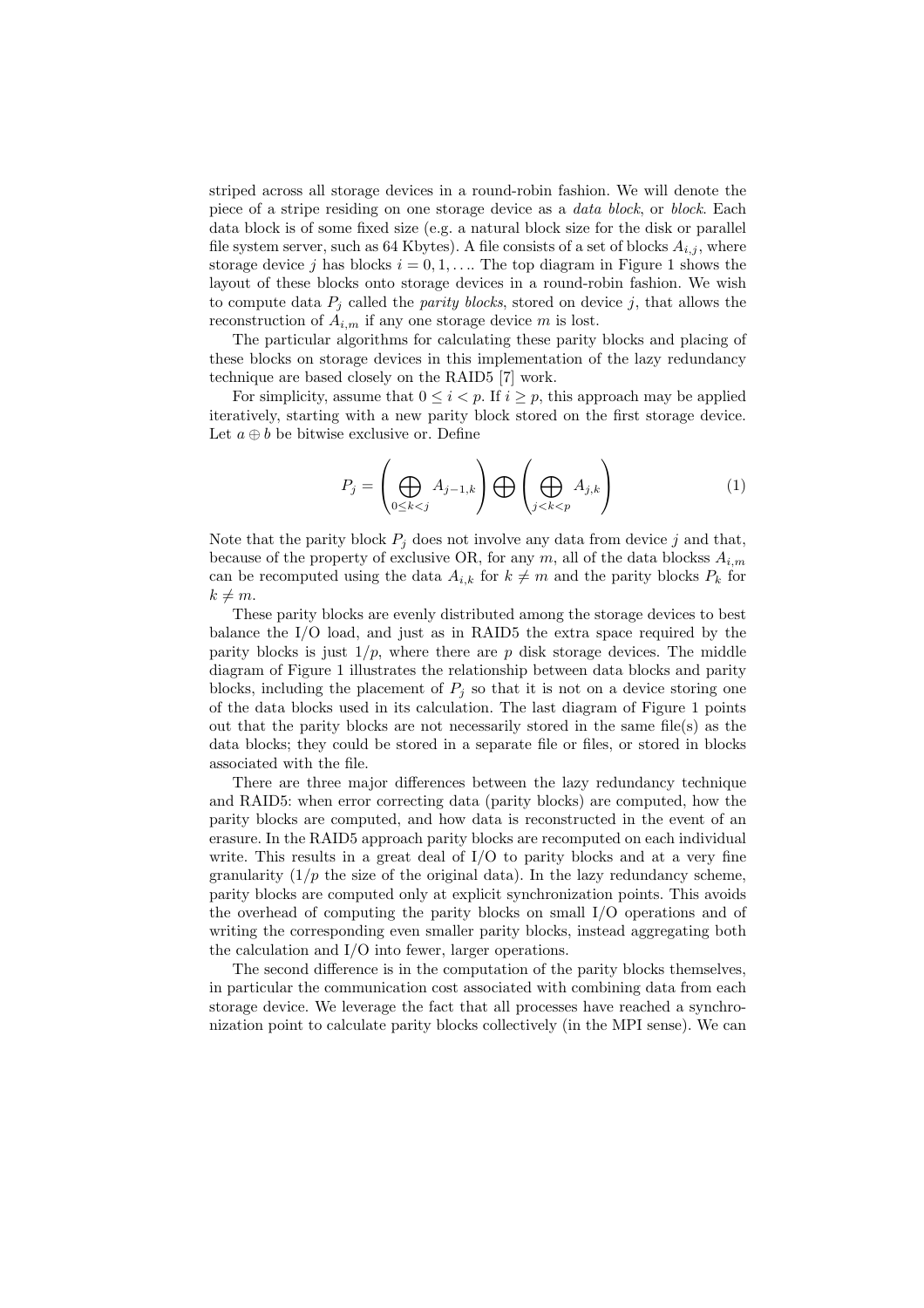striped across all storage devices in a round-robin fashion. We will denote the piece of a stripe residing on one storage device as a data block, or block. Each data block is of some fixed size (e.g. a natural block size for the disk or parallel file system server, such as 64 Kbytes). A file consists of a set of blocks  $A_{i,j}$ , where storage device j has blocks  $i = 0, 1, \ldots$  The top diagram in Figure 1 shows the layout of these blocks onto storage devices in a round-robin fashion. We wish to compute data  $P_j$  called the *parity blocks*, stored on device j, that allows the reconstruction of  $A_{i,m}$  if any one storage device m is lost.

The particular algorithms for calculating these parity blocks and placing of these blocks on storage devices in this implementation of the lazy redundancy technique are based closely on the RAID5 [7] work.

For simplicity, assume that  $0 \leq i \leq p$ . If  $i \geq p$ , this approach may be applied iteratively, starting with a new parity block stored on the first storage device. Let  $a \oplus b$  be bitwise exclusive or. Define

$$
P_j = \left(\bigoplus_{0 \le k < j} A_{j-1,k}\right) \bigoplus \left(\bigoplus_{j < k < p} A_{j,k}\right) \tag{1}
$$

Note that the parity block  $P_j$  does not involve any data from device j and that, because of the property of exclusive OR, for any  $m$ , all of the data blockss  $A_{i,m}$ can be recomputed using the data  $A_{i,k}$  for  $k \neq m$  and the parity blocks  $P_k$  for  $k \neq m$ .

These parity blocks are evenly distributed among the storage devices to best balance the I/O load, and just as in RAID5 the extra space required by the parity blocks is just  $1/p$ , where there are p disk storage devices. The middle diagram of Figure 1 illustrates the relationship between data blocks and parity blocks, including the placement of  $P_j$  so that it is not on a device storing one of the data blocks used in its calculation. The last diagram of Figure 1 points out that the parity blocks are not necessarily stored in the same file(s) as the data blocks; they could be stored in a separate file or files, or stored in blocks associated with the file.

There are three major differences between the lazy redundancy technique and RAID5: when error correcting data (parity blocks) are computed, how the parity blocks are computed, and how data is reconstructed in the event of an erasure. In the RAID5 approach parity blocks are recomputed on each individual write. This results in a great deal of  $I/O$  to parity blocks and at a very fine granularity  $(1/p)$  the size of the original data). In the lazy redundancy scheme, parity blocks are computed only at explicit synchronization points. This avoids the overhead of computing the parity blocks on small I/O operations and of writing the corresponding even smaller parity blocks, instead aggregating both the calculation and I/O into fewer, larger operations.

The second difference is in the computation of the parity blocks themselves, in particular the communication cost associated with combining data from each storage device. We leverage the fact that all processes have reached a synchronization point to calculate parity blocks collectively (in the MPI sense). We can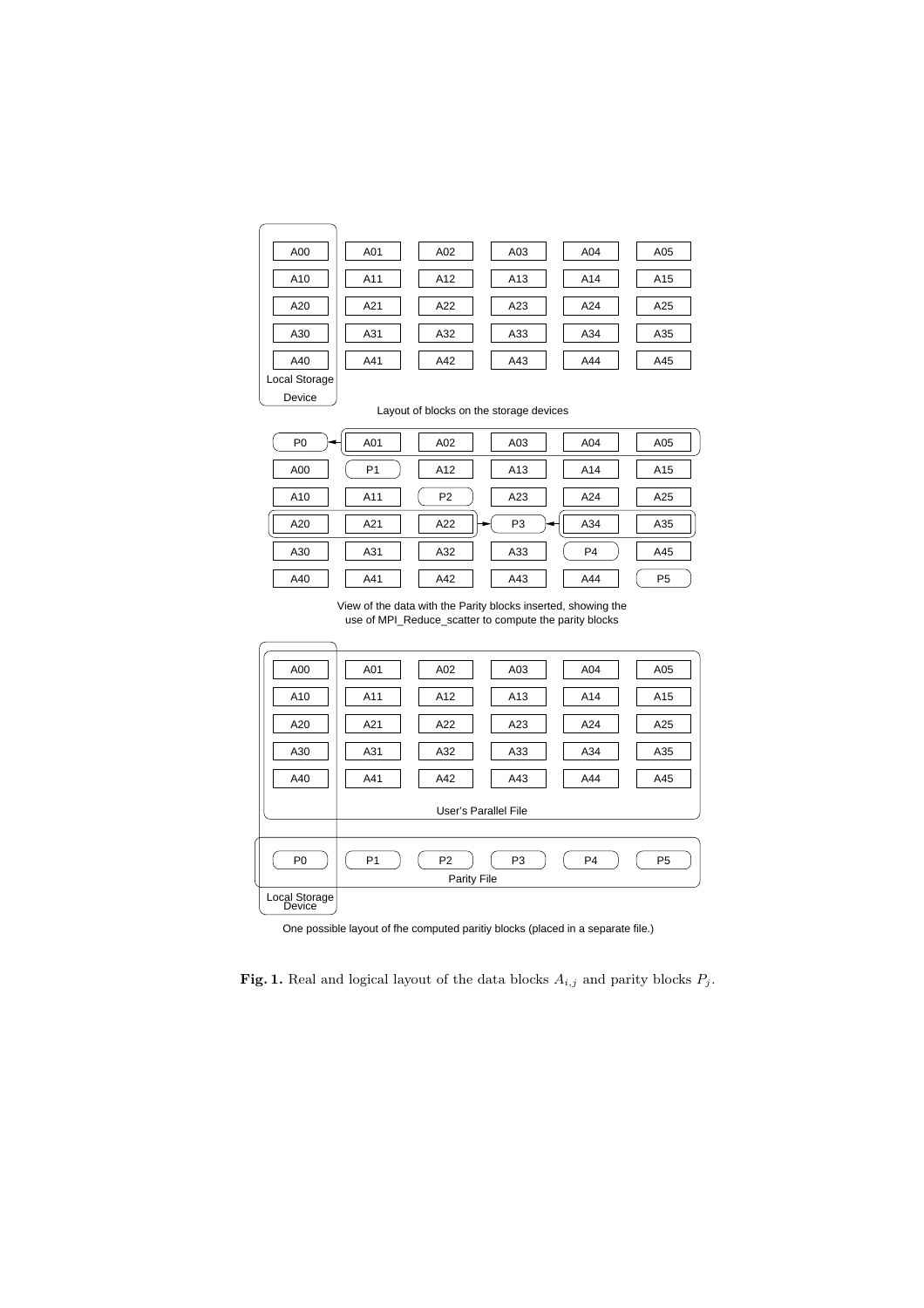| A00           | A01 | A02 | A03 | A04 | A05 |
|---------------|-----|-----|-----|-----|-----|
| A10           | A11 | A12 | A13 | A14 | A15 |
| A20           | A21 | A22 | A23 | A24 | A25 |
| A30           | A31 | A32 | A33 | A34 | A35 |
| A40           | A41 | A42 | A43 | A44 | A45 |
| Local Storage |     |     |     |     |     |

Device

|  |  |  | Layout of blocks on the storage devices |  |
|--|--|--|-----------------------------------------|--|
|--|--|--|-----------------------------------------|--|

| P <sub>0</sub> | A01            | A02            | A03            | A04            | A05            |
|----------------|----------------|----------------|----------------|----------------|----------------|
| A00            | P <sub>1</sub> | A12            | A13            | A14            | A15            |
| A10            | A11            | P <sub>2</sub> | A23            | A24            | A25            |
| A20            | A21            | A22            | P <sub>3</sub> | A34            | A35            |
| A30            | A31            | A32            | A33            | P <sub>4</sub> | A45            |
| A40            | A41            | A42            | A43            | A44            | P <sub>5</sub> |

View of the data with the Parity blocks inserted, showing the use of MPI\_Reduce\_scatter to compute the parity blocks

| A00            | A01                  | A02            | A03            | A04            | A05            |  |  |  |  |
|----------------|----------------------|----------------|----------------|----------------|----------------|--|--|--|--|
| A10            | A11                  | A12            | A13            | A14            | A15            |  |  |  |  |
| A20            | A21                  | A22            | A23            | A24            | A25            |  |  |  |  |
| A30            | A31                  | A32            | A33            | A34            | A35            |  |  |  |  |
| A40            | A41                  | A42            | A43            | A44            | A45            |  |  |  |  |
|                | User's Parallel File |                |                |                |                |  |  |  |  |
|                |                      |                |                |                |                |  |  |  |  |
| P <sub>0</sub> | P <sub>1</sub>       | P <sub>2</sub> | P <sub>3</sub> | P <sub>4</sub> | P <sub>5</sub> |  |  |  |  |
|                | Parity File          |                |                |                |                |  |  |  |  |
| Local Storage  |                      |                |                |                |                |  |  |  |  |

One possible layout of fhe computed paritiy blocks (placed in a separate file.)

Fig. 1. Real and logical layout of the data blocks  $A_{i,j}$  and parity blocks  $P_j$ .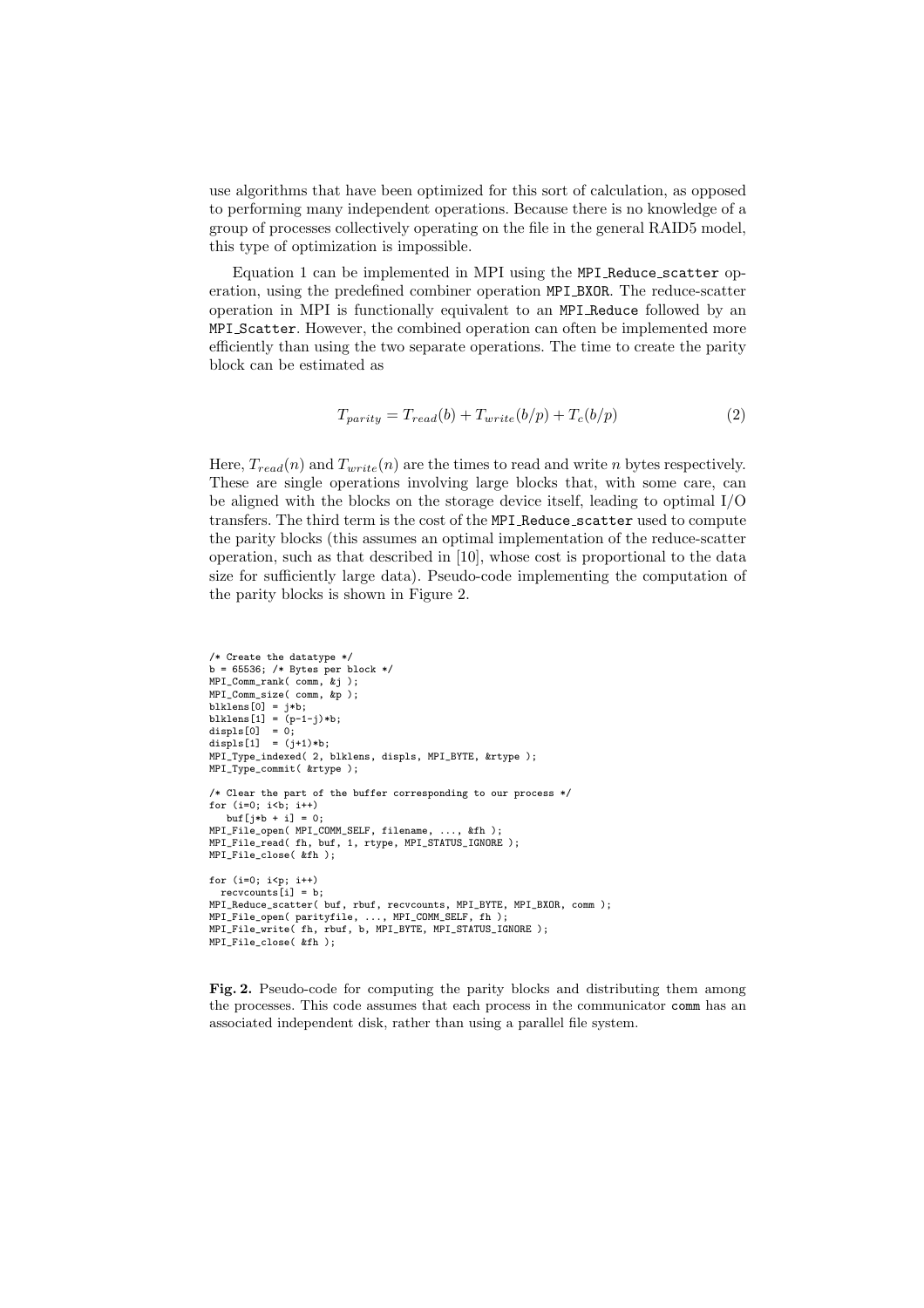use algorithms that have been optimized for this sort of calculation, as opposed to performing many independent operations. Because there is no knowledge of a group of processes collectively operating on the file in the general RAID5 model, this type of optimization is impossible.

Equation 1 can be implemented in MPI using the MPI Reduce scatter operation, using the predefined combiner operation MPI BXOR. The reduce-scatter operation in MPI is functionally equivalent to an MPI Reduce followed by an MPI Scatter. However, the combined operation can often be implemented more efficiently than using the two separate operations. The time to create the parity block can be estimated as

$$
T_{parity} = T_{read}(b) + T_{write}(b/p) + T_c(b/p)
$$
\n(2)

Here,  $T_{read}(n)$  and  $T_{write}(n)$  are the times to read and write n bytes respectively. These are single operations involving large blocks that, with some care, can be aligned with the blocks on the storage device itself, leading to optimal I/O transfers. The third term is the cost of the MPI Reduce scatter used to compute the parity blocks (this assumes an optimal implementation of the reduce-scatter operation, such as that described in [10], whose cost is proportional to the data size for sufficiently large data). Pseudo-code implementing the computation of the parity blocks is shown in Figure 2.

```
/* Create the datatype */
b = 65536; /* Bytes per block */
MPI Comm rank( comm, kj );
MPI_Comm_size( comm, &p );
blklens[0] = j*b;
blklens[1] = (p-1-j)*b;
displs[0] = 0;
displs[1] = (j+1)*b;
MPI_Type_indexed( 2, blklens, displs, MPI_BYTE, &rtype );
MPI_Type_commit( &rtype );
/* Clear the part of the buffer corresponding to our process */
for (i=0; i < b; i++)buf \lceil i * b + i \rceil = 0:
MPI_File_open( MPI_COMM_SELF, filename, ..., &fh );
MPI_File_read( fh, buf, 1, rtype, MPI_STATUS_IGNORE );
MPI_File_close( &fh );
for (i=0; i<p; i++)
  recvcounts[i] = b;MPI_Reduce_scatter( buf, rbuf, recvcounts, MPI_BYTE, MPI_BXOR, comm );
MPI_File_open( parityfile, ..., MPI_COMM_SELF, fh );
MPI_File_write( fh, rbuf, b, MPI_BYTE, MPI_STATUS_IGNORE );
MPI_File_close( &fh );
```
Fig. 2. Pseudo-code for computing the parity blocks and distributing them among the processes. This code assumes that each process in the communicator comm has an associated independent disk, rather than using a parallel file system.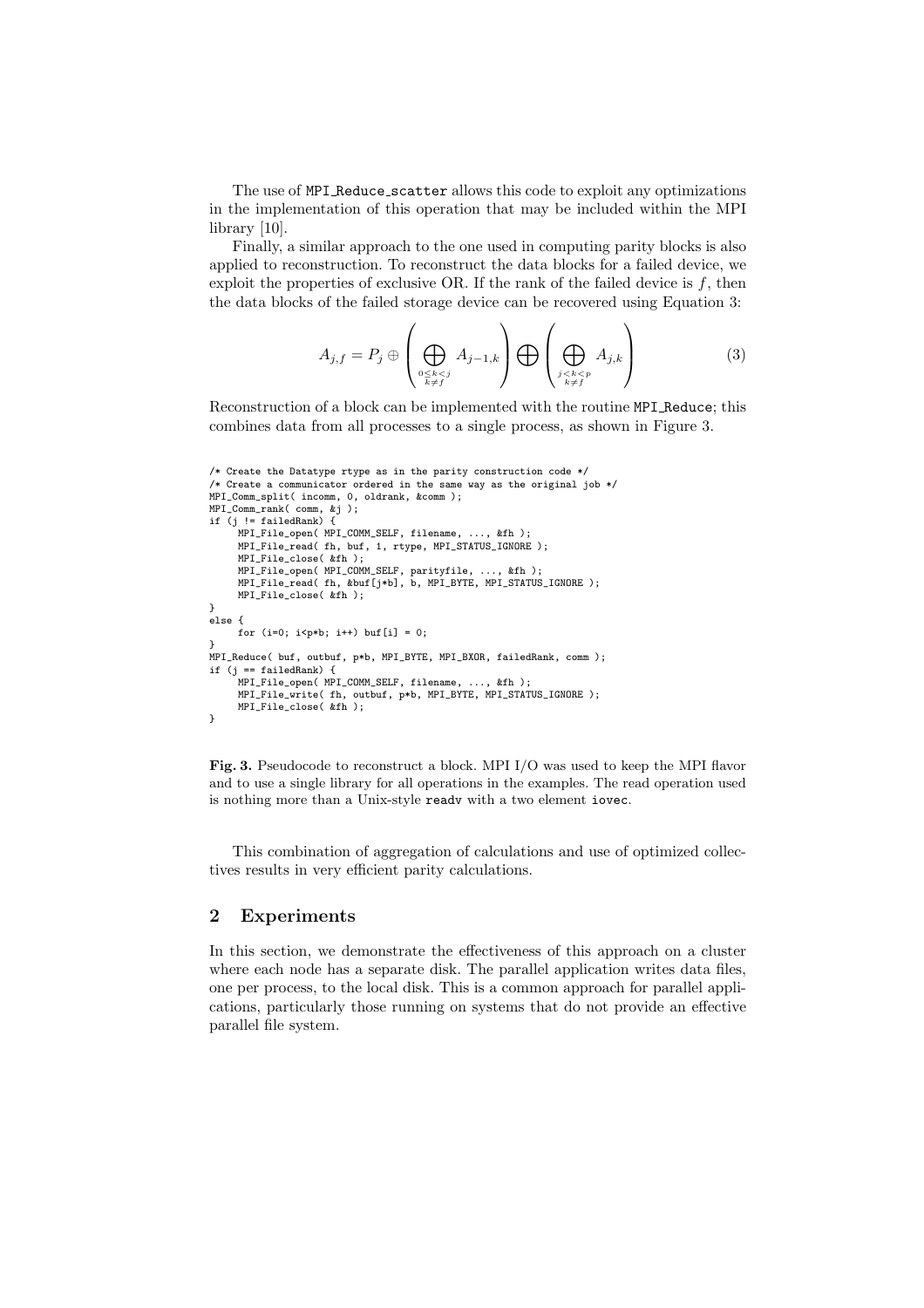The use of MPI Reduce scatter allows this code to exploit any optimizations in the implementation of this operation that may be included within the MPI library [10].

Finally, a similar approach to the one used in computing parity blocks is also applied to reconstruction. To reconstruct the data blocks for a failed device, we exploit the properties of exclusive OR. If the rank of the failed device is  $f$ , then the data blocks of the failed storage device can be recovered using Equation 3:

$$
A_{j,f} = P_j \oplus \left(\bigoplus_{\substack{0 \le k < j \\ k \ne f}} A_{j-1,k}\right) \bigoplus \left(\bigoplus_{\substack{j < k < p \\ k \ne f}} A_{j,k}\right) \tag{3}
$$

Reconstruction of a block can be implemented with the routine MPI Reduce; this combines data from all processes to a single process, as shown in Figure 3.

```
/* Create the Datatype rtype as in the parity construction code */
/* Create a communicator ordered in the same way as the original job */
MPI_Comm_split( incomm, 0, oldrank, &comm );
MPI_Comm_rank( comm, &j );
if (j != failedRank) {
     MPI_File_open( MPI_COMM_SELF, filename, ..., &fh );
     MPI_File_read( fh, buf, 1, rtype, MPI_STATUS_IGNORE );
     MPI_File_close( &fh );
     MPI_File_open( MPI_COMM_SELF, parityfile, ..., &fh );
     MPI_File_read( fh, &buf[j*b], b, MPI_BYTE, MPI_STATUS_IGNORE );
     MPI_File_close( &fh );
}
else {
     for (i=0; i < p * b; i++) buf[i] = 0;
}
MPI_Reduce( buf, outbuf, p*b, MPI_BYTE, MPI_BXOR, failedRank, comm );
if (j == failedRank) {
      MPI_File_open( MPI_COMM_SELF, filename, ..., &fh );
MPI_File_write( fh, outbuf, p*b, MPI_BYTE, MPI_STATUS_IGNORE );
     MPI_File_close( &fh );
}
```
Fig. 3. Pseudocode to reconstruct a block. MPI I/O was used to keep the MPI flavor and to use a single library for all operations in the examples. The read operation used is nothing more than a Unix-style readv with a two element iovec.

This combination of aggregation of calculations and use of optimized collectives results in very efficient parity calculations.

### 2 Experiments

In this section, we demonstrate the effectiveness of this approach on a cluster where each node has a separate disk. The parallel application writes data files, one per process, to the local disk. This is a common approach for parallel applications, particularly those running on systems that do not provide an effective parallel file system.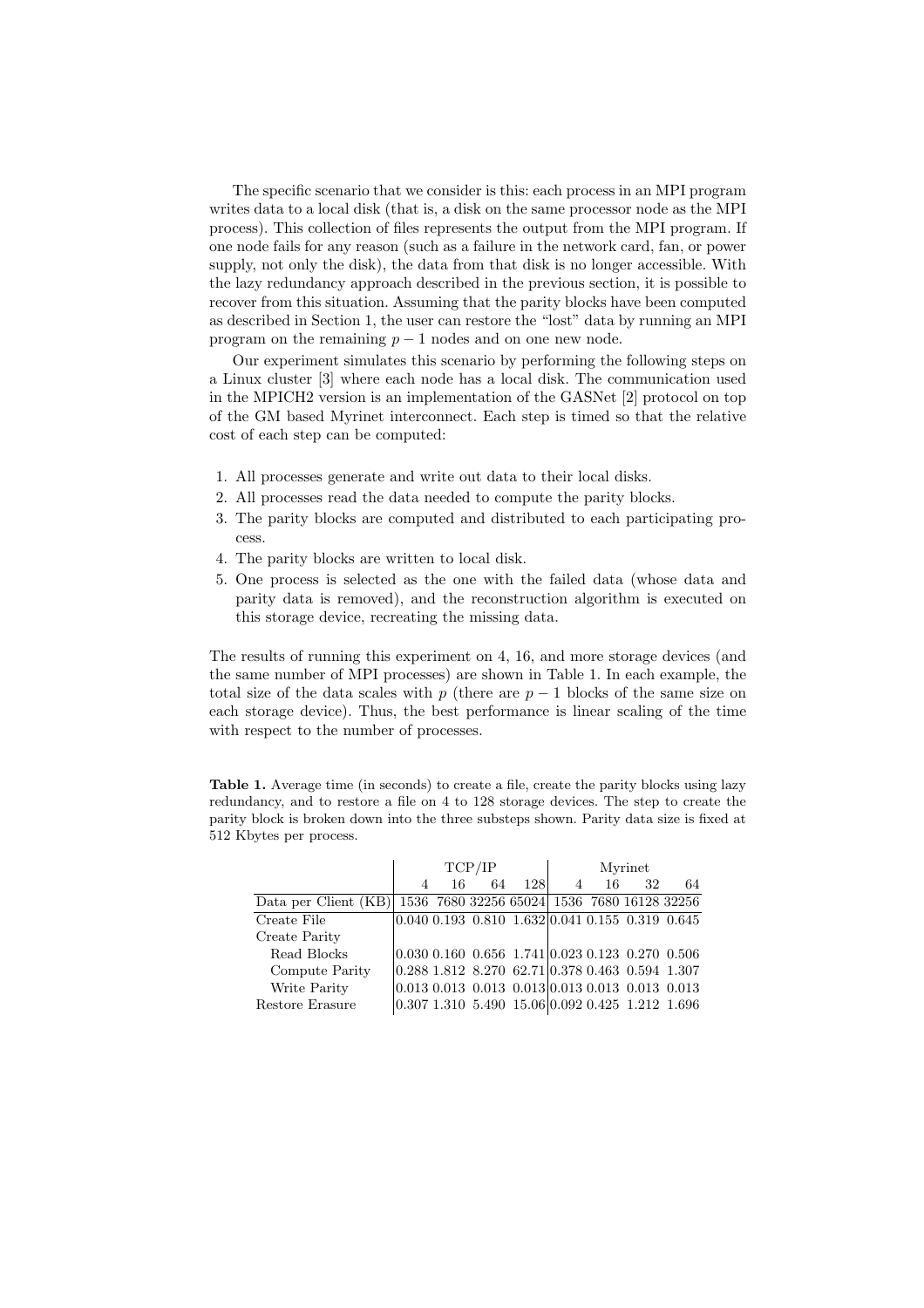The specific scenario that we consider is this: each process in an MPI program writes data to a local disk (that is, a disk on the same processor node as the MPI process). This collection of files represents the output from the MPI program. If one node fails for any reason (such as a failure in the network card, fan, or power supply, not only the disk), the data from that disk is no longer accessible. With the lazy redundancy approach described in the previous section, it is possible to recover from this situation. Assuming that the parity blocks have been computed as described in Section 1, the user can restore the "lost" data by running an MPI program on the remaining  $p-1$  nodes and on one new node.

Our experiment simulates this scenario by performing the following steps on a Linux cluster [3] where each node has a local disk. The communication used in the MPICH2 version is an implementation of the GASNet [2] protocol on top of the GM based Myrinet interconnect. Each step is timed so that the relative cost of each step can be computed:

- 1. All processes generate and write out data to their local disks.
- 2. All processes read the data needed to compute the parity blocks.
- 3. The parity blocks are computed and distributed to each participating process.
- 4. The parity blocks are written to local disk.
- 5. One process is selected as the one with the failed data (whose data and parity data is removed), and the reconstruction algorithm is executed on this storage device, recreating the missing data.

The results of running this experiment on 4, 16, and more storage devices (and the same number of MPI processes) are shown in Table 1. In each example, the total size of the data scales with p (there are  $p-1$  blocks of the same size on each storage device). Thus, the best performance is linear scaling of the time with respect to the number of processes.

Table 1. Average time (in seconds) to create a file, create the parity blocks using lazy redundancy, and to restore a file on 4 to 128 storage devices. The step to create the parity block is broken down into the three substeps shown. Parity data size is fixed at 512 Kbytes per process.

|                      | TCP/IP         |    |                                                                                 | Myrinet |                |    |    |    |
|----------------------|----------------|----|---------------------------------------------------------------------------------|---------|----------------|----|----|----|
|                      | $\overline{A}$ | 16 | 64                                                                              | 128     | $\overline{4}$ | 16 | 32 | 64 |
| Data per Client (KB) |                |    | 1536 7680 32256 65024 1536 7680 16128 32256                                     |         |                |    |    |    |
| Create File          |                |    | $\overline{0.040\ 0.193\ 0.810\ 1.632}$ $\overline{0.041\ 0.155\ 0.319\ 0.645}$ |         |                |    |    |    |
| Create Parity        |                |    |                                                                                 |         |                |    |    |    |
| Read Blocks          |                |    | $\vert 0.030\; 0.160\; 0.656\; 1.741 \vert 0.023\; 0.123\; 0.270\; 0.506$       |         |                |    |    |    |
| Compute Parity       |                |    | $ 0.288\;1.812\;$ 8.270 62.71 $ 0.378\;0.463\;$ 0.594 1.307                     |         |                |    |    |    |
| Write Parity         |                |    | $ 0.013 0.013 0.013 0.013 0.013 0.013 0.013 0.013$                              |         |                |    |    |    |
| Restore Erasure      |                |    | $ 0.307 1.310 5.490 15.06 0.092 0.425 1.212 1.696$                              |         |                |    |    |    |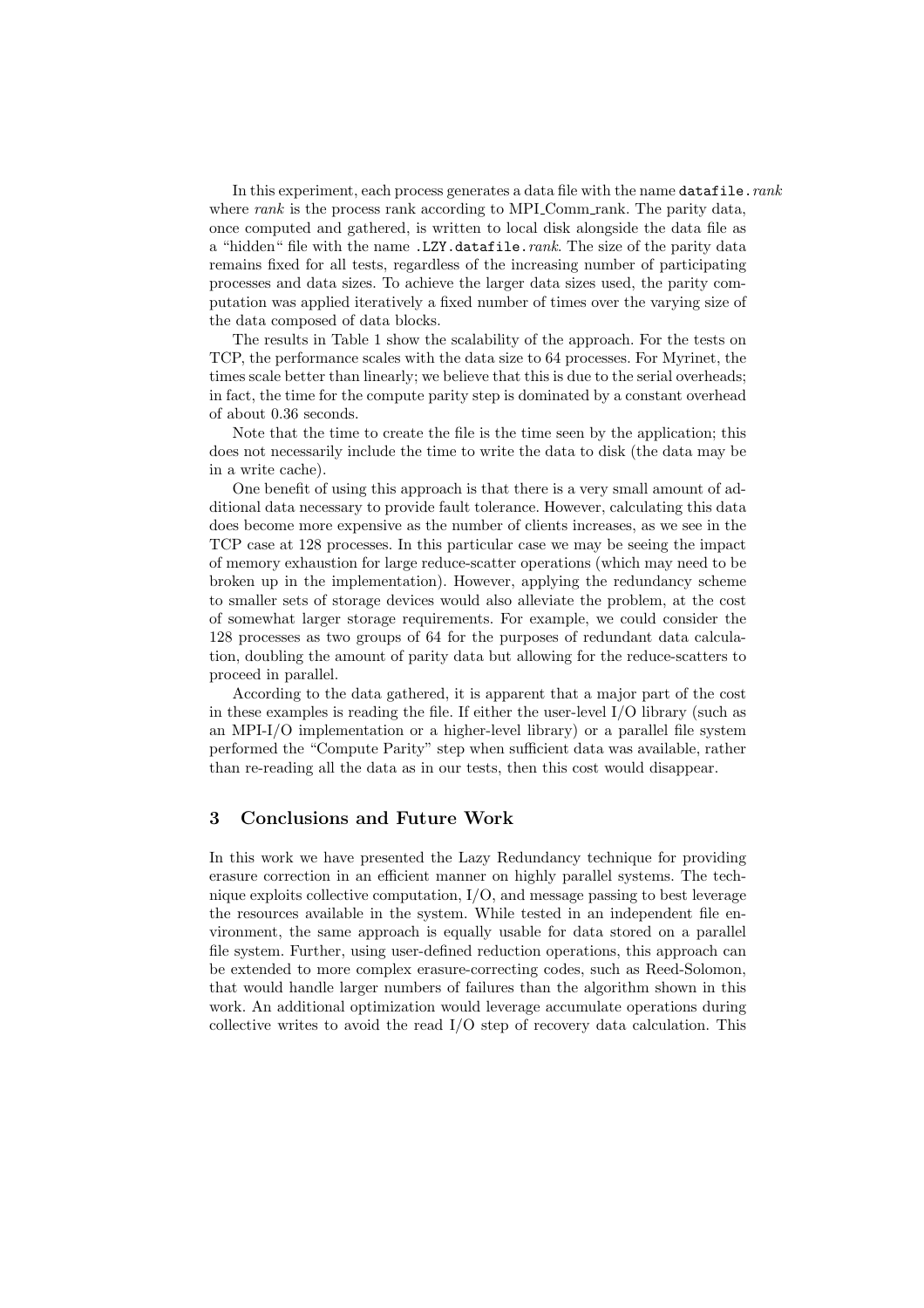In this experiment, each process generates a data file with the name datafile.rank where rank is the process rank according to MPI Comm rank. The parity data, once computed and gathered, is written to local disk alongside the data file as a "hidden" file with the name .LZY.datafile.rank. The size of the parity data remains fixed for all tests, regardless of the increasing number of participating processes and data sizes. To achieve the larger data sizes used, the parity computation was applied iteratively a fixed number of times over the varying size of the data composed of data blocks.

The results in Table 1 show the scalability of the approach. For the tests on TCP, the performance scales with the data size to 64 processes. For Myrinet, the times scale better than linearly; we believe that this is due to the serial overheads; in fact, the time for the compute parity step is dominated by a constant overhead of about 0.36 seconds.

Note that the time to create the file is the time seen by the application; this does not necessarily include the time to write the data to disk (the data may be in a write cache).

One benefit of using this approach is that there is a very small amount of additional data necessary to provide fault tolerance. However, calculating this data does become more expensive as the number of clients increases, as we see in the TCP case at 128 processes. In this particular case we may be seeing the impact of memory exhaustion for large reduce-scatter operations (which may need to be broken up in the implementation). However, applying the redundancy scheme to smaller sets of storage devices would also alleviate the problem, at the cost of somewhat larger storage requirements. For example, we could consider the 128 processes as two groups of 64 for the purposes of redundant data calculation, doubling the amount of parity data but allowing for the reduce-scatters to proceed in parallel.

According to the data gathered, it is apparent that a major part of the cost in these examples is reading the file. If either the user-level I/O library (such as an MPI-I/O implementation or a higher-level library) or a parallel file system performed the "Compute Parity" step when sufficient data was available, rather than re-reading all the data as in our tests, then this cost would disappear.

#### 3 Conclusions and Future Work

In this work we have presented the Lazy Redundancy technique for providing erasure correction in an efficient manner on highly parallel systems. The technique exploits collective computation, I/O, and message passing to best leverage the resources available in the system. While tested in an independent file environment, the same approach is equally usable for data stored on a parallel file system. Further, using user-defined reduction operations, this approach can be extended to more complex erasure-correcting codes, such as Reed-Solomon, that would handle larger numbers of failures than the algorithm shown in this work. An additional optimization would leverage accumulate operations during collective writes to avoid the read I/O step of recovery data calculation. This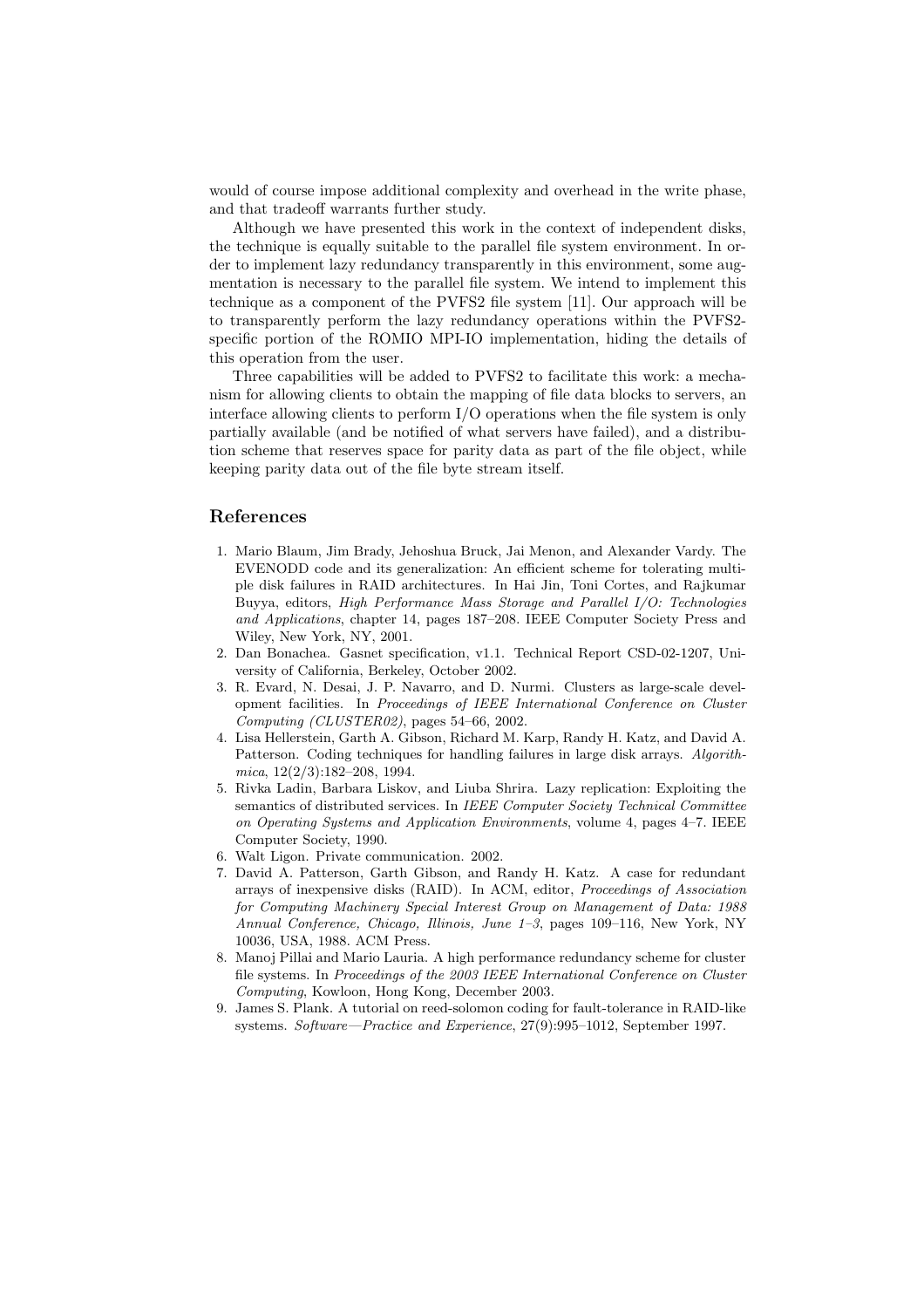would of course impose additional complexity and overhead in the write phase, and that tradeoff warrants further study.

Although we have presented this work in the context of independent disks, the technique is equally suitable to the parallel file system environment. In order to implement lazy redundancy transparently in this environment, some augmentation is necessary to the parallel file system. We intend to implement this technique as a component of the PVFS2 file system [11]. Our approach will be to transparently perform the lazy redundancy operations within the PVFS2 specific portion of the ROMIO MPI-IO implementation, hiding the details of this operation from the user.

Three capabilities will be added to PVFS2 to facilitate this work: a mechanism for allowing clients to obtain the mapping of file data blocks to servers, an interface allowing clients to perform I/O operations when the file system is only partially available (and be notified of what servers have failed), and a distribution scheme that reserves space for parity data as part of the file object, while keeping parity data out of the file byte stream itself.

### References

- 1. Mario Blaum, Jim Brady, Jehoshua Bruck, Jai Menon, and Alexander Vardy. The EVENODD code and its generalization: An efficient scheme for tolerating multiple disk failures in RAID architectures. In Hai Jin, Toni Cortes, and Rajkumar Buyya, editors, High Performance Mass Storage and Parallel I/O: Technologies and Applications, chapter 14, pages 187–208. IEEE Computer Society Press and Wiley, New York, NY, 2001.
- 2. Dan Bonachea. Gasnet specification, v1.1. Technical Report CSD-02-1207, University of California, Berkeley, October 2002.
- 3. R. Evard, N. Desai, J. P. Navarro, and D. Nurmi. Clusters as large-scale development facilities. In Proceedings of IEEE International Conference on Cluster Computing (CLUSTER02), pages 54–66, 2002.
- 4. Lisa Hellerstein, Garth A. Gibson, Richard M. Karp, Randy H. Katz, and David A. Patterson. Coding techniques for handling failures in large disk arrays. Algorithmica, 12(2/3):182–208, 1994.
- 5. Rivka Ladin, Barbara Liskov, and Liuba Shrira. Lazy replication: Exploiting the semantics of distributed services. In IEEE Computer Society Technical Committee on Operating Systems and Application Environments, volume 4, pages 4–7. IEEE Computer Society, 1990.
- 6. Walt Ligon. Private communication. 2002.
- 7. David A. Patterson, Garth Gibson, and Randy H. Katz. A case for redundant arrays of inexpensive disks (RAID). In ACM, editor, Proceedings of Association for Computing Machinery Special Interest Group on Management of Data: 1988 Annual Conference, Chicago, Illinois, June 1–3, pages 109–116, New York, NY 10036, USA, 1988. ACM Press.
- 8. Manoj Pillai and Mario Lauria. A high performance redundancy scheme for cluster file systems. In Proceedings of the 2003 IEEE International Conference on Cluster Computing, Kowloon, Hong Kong, December 2003.
- 9. James S. Plank. A tutorial on reed-solomon coding for fault-tolerance in RAID-like systems. Software—Practice and Experience, 27(9):995–1012, September 1997.